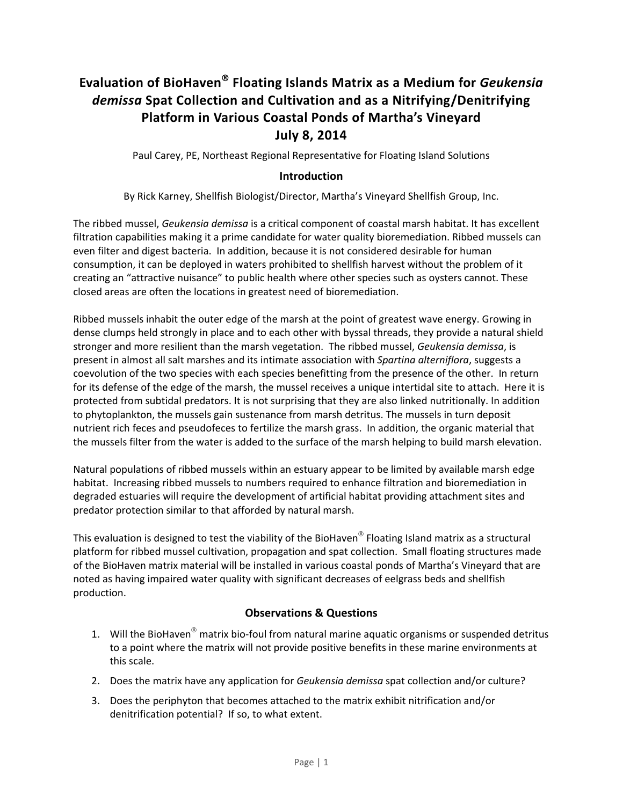# **Evaluation of BioHaven**® **Floating Islands Matrix as a Medium for** *Geukensia demissa* **Spat Collection and Cultivation and as a Nitrifying/Denitrifying Platform in Various Coastal Ponds of Martha's Vineyard July 8, 2014**

Paul Carey, PE, Northeast Regional Representative for Floating Island Solutions

# **Introduction**

By Rick Karney, Shellfish Biologist/Director, Martha's Vineyard Shellfish Group, Inc.

The ribbed mussel, *Geukensia demissa* is a critical component of coastal marsh habitat. It has excellent filtration capabilities making it a prime candidate for water quality bioremediation. Ribbed mussels can even filter and digest bacteria. In addition, because it is not considered desirable for human consumption, it can be deployed in waters prohibited to shellfish harvest without the problem of it creating an "attractive nuisance" to public health where other species such as oysters cannot. These closed areas are often the locations in greatest need of bioremediation.

Ribbed mussels inhabit the outer edge of the marsh at the point of greatest wave energy. Growing in dense clumps held strongly in place and to each other with byssal threads, they provide a natural shield stronger and more resilient than the marsh vegetation. The ribbed mussel, *Geukensia demissa*, is present in almost all salt marshes and its intimate association with *Spartina alterniflora*, suggests a coevolution of the two species with each species benefitting from the presence of the other. In return for its defense of the edge of the marsh, the mussel receives a unique intertidal site to attach. Here it is protected from subtidal predators. It is not surprising that they are also linked nutritionally. In addition to phytoplankton, the mussels gain sustenance from marsh detritus. The mussels in turn deposit nutrient rich feces and pseudofeces to fertilize the marsh grass. In addition, the organic material that the mussels filter from the water is added to the surface of the marsh helping to build marsh elevation.

Natural populations of ribbed mussels within an estuary appear to be limited by available marsh edge habitat. Increasing ribbed mussels to numbers required to enhance filtration and bioremediation in degraded estuaries will require the development of artificial habitat providing attachment sites and predator protection similar to that afforded by natural marsh.

This evaluation is designed to test the viability of the BioHaven<sup>®</sup> Floating Island matrix as a structural platform for ribbed mussel cultivation, propagation and spat collection. Small floating structures made of the BioHaven matrix material will be installed in various coastal ponds of Martha's Vineyard that are noted as having impaired water quality with significant decreases of eelgrass beds and shellfish production.

## **Observations & Questions**

- 1. Will the BioHaven $^{\circledR}$  matrix bio-foul from natural marine aquatic organisms or suspended detritus to a point where the matrix will not provide positive benefits in these marine environments at this scale.
- 2. Does the matrix have any application for *Geukensia demissa* spat collection and/or culture?
- 3. Does the periphyton that becomes attached to the matrix exhibit nitrification and/or denitrification potential? If so, to what extent.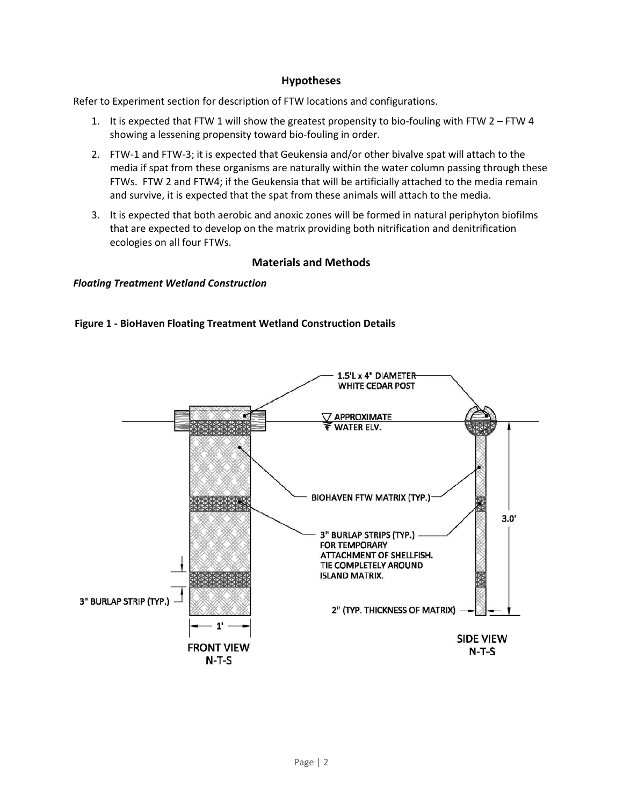### **Hypotheses**

Refer to Experiment section for description of FTW locations and configurations.

- 1. It is expected that FTW 1 will show the greatest propensity to bio-fouling with FTW 2 FTW 4 showing a lessening propensity toward bio‐fouling in order.
- 2. FTW‐1 and FTW‐3; it is expected that Geukensia and/or other bivalve spat will attach to the media if spat from these organisms are naturally within the water column passing through these FTWs. FTW 2 and FTW4; if the Geukensia that will be artificially attached to the media remain and survive, it is expected that the spat from these animals will attach to the media.
- 3. It is expected that both aerobic and anoxic zones will be formed in natural periphyton biofilms that are expected to develop on the matrix providing both nitrification and denitrification ecologies on all four FTWs.

## **Materials and Methods**

#### *Floating Treatment Wetland Construction*



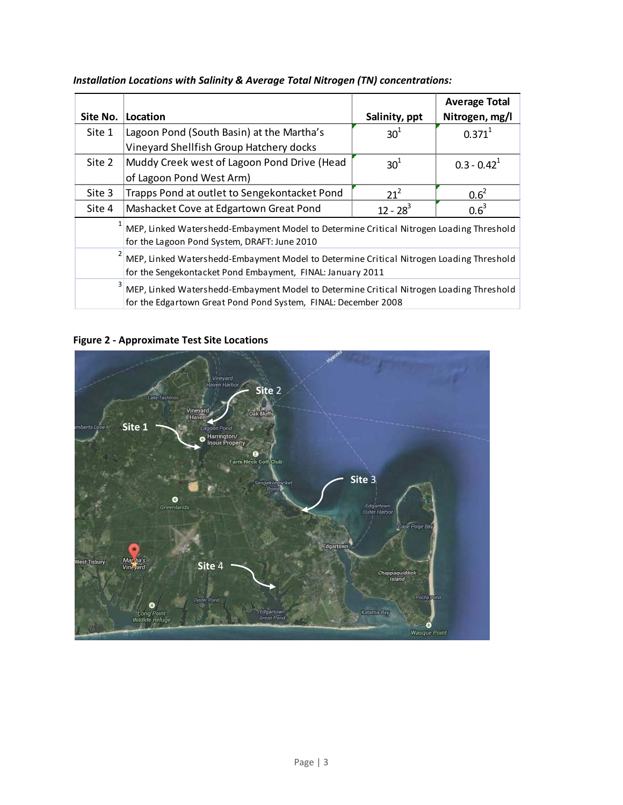|          |                                                                                         |                 | <b>Average Total</b> |  |  |  |  |  |
|----------|-----------------------------------------------------------------------------------------|-----------------|----------------------|--|--|--|--|--|
| Site No. | Location                                                                                | Salinity, ppt   | Nitrogen, mg/l       |  |  |  |  |  |
| Site 1   | Lagoon Pond (South Basin) at the Martha's                                               | 30 <sup>1</sup> | $0.371^{1}$          |  |  |  |  |  |
|          | Vineyard Shellfish Group Hatchery docks                                                 |                 |                      |  |  |  |  |  |
| Site 2   | Muddy Creek west of Lagoon Pond Drive (Head                                             | 30 <sup>1</sup> | $0.3 - 0.42^1$       |  |  |  |  |  |
|          | of Lagoon Pond West Arm)                                                                |                 |                      |  |  |  |  |  |
| Site 3   | Trapps Pond at outlet to Sengekontacket Pond                                            | $21^2$          | $0.6^2$              |  |  |  |  |  |
| Site 4   | Mashacket Cove at Edgartown Great Pond                                                  | $12 - 28^3$     | $0.6^3$              |  |  |  |  |  |
|          | MEP, Linked Watershedd-Embayment Model to Determine Critical Nitrogen Loading Threshold |                 |                      |  |  |  |  |  |
|          | for the Lagoon Pond System, DRAFT: June 2010                                            |                 |                      |  |  |  |  |  |
|          | MEP, Linked Watershedd-Embayment Model to Determine Critical Nitrogen Loading Threshold |                 |                      |  |  |  |  |  |
|          | for the Sengekontacket Pond Embayment, FINAL: January 2011                              |                 |                      |  |  |  |  |  |
|          | MEP, Linked Watershedd-Embayment Model to Determine Critical Nitrogen Loading Threshold |                 |                      |  |  |  |  |  |
|          | for the Edgartown Great Pond Pond System, FINAL: December 2008                          |                 |                      |  |  |  |  |  |

# *Installation Locations with Salinity & Average Total Nitrogen (TN) concentrations:*

# **Figure 2 ‐ Approximate Test Site Locations**

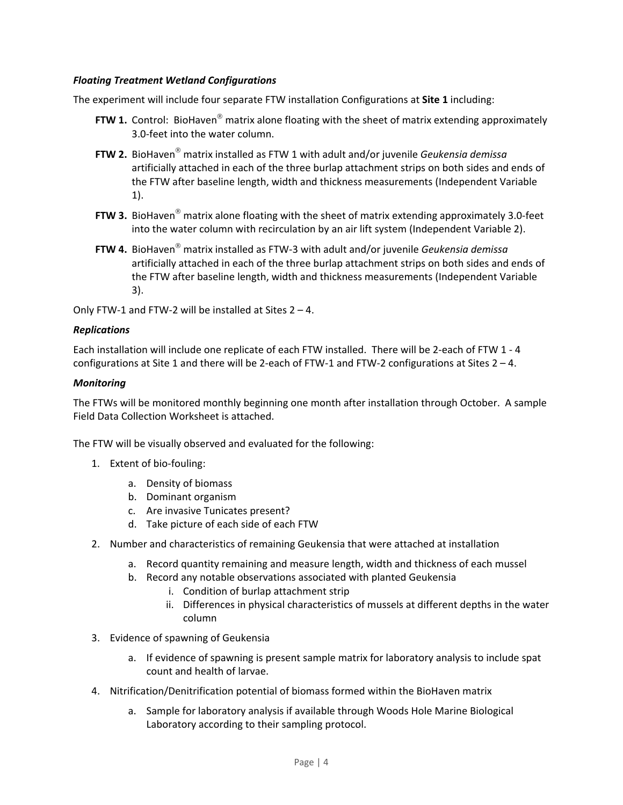### *Floating Treatment Wetland Configurations*

The experiment will include four separate FTW installation Configurations at **Site 1** including:

- **FTW 1.** Control: BioHaven® matrix alone floating with the sheet of matrix extending approximately 3.0‐feet into the water column.
- **FTW 2.** BioHaven® matrix installed as FTW 1 with adult and/or juvenile *Geukensia demissa* artificially attached in each of the three burlap attachment strips on both sides and ends of the FTW after baseline length, width and thickness measurements (Independent Variable 1).
- **FTW 3.** BioHaven® matrix alone floating with the sheet of matrix extending approximately 3.0‐feet into the water column with recirculation by an air lift system (Independent Variable 2).
- **FTW 4.** BioHaven® matrix installed as FTW‐3 with adult and/or juvenile *Geukensia demissa* artificially attached in each of the three burlap attachment strips on both sides and ends of the FTW after baseline length, width and thickness measurements (Independent Variable 3).

Only FTW-1 and FTW-2 will be installed at Sites  $2 - 4$ .

### *Replications*

Each installation will include one replicate of each FTW installed. There will be 2‐each of FTW 1 ‐ 4 configurations at Site 1 and there will be 2-each of FTW-1 and FTW-2 configurations at Sites  $2 - 4$ .

### *Monitoring*

The FTWs will be monitored monthly beginning one month after installation through October. A sample Field Data Collection Worksheet is attached.

The FTW will be visually observed and evaluated for the following:

- 1. Extent of bio‐fouling:
	- a. Density of biomass
	- b. Dominant organism
	- c. Are invasive Tunicates present?
	- d. Take picture of each side of each FTW
- 2. Number and characteristics of remaining Geukensia that were attached at installation
	- a. Record quantity remaining and measure length, width and thickness of each mussel
	- b. Record any notable observations associated with planted Geukensia
		- i. Condition of burlap attachment strip
		- ii. Differences in physical characteristics of mussels at different depths in the water column
- 3. Evidence of spawning of Geukensia
	- a. If evidence of spawning is present sample matrix for laboratory analysis to include spat count and health of larvae.
- 4. Nitrification/Denitrification potential of biomass formed within the BioHaven matrix
	- a. Sample for laboratory analysis if available through Woods Hole Marine Biological Laboratory according to their sampling protocol.